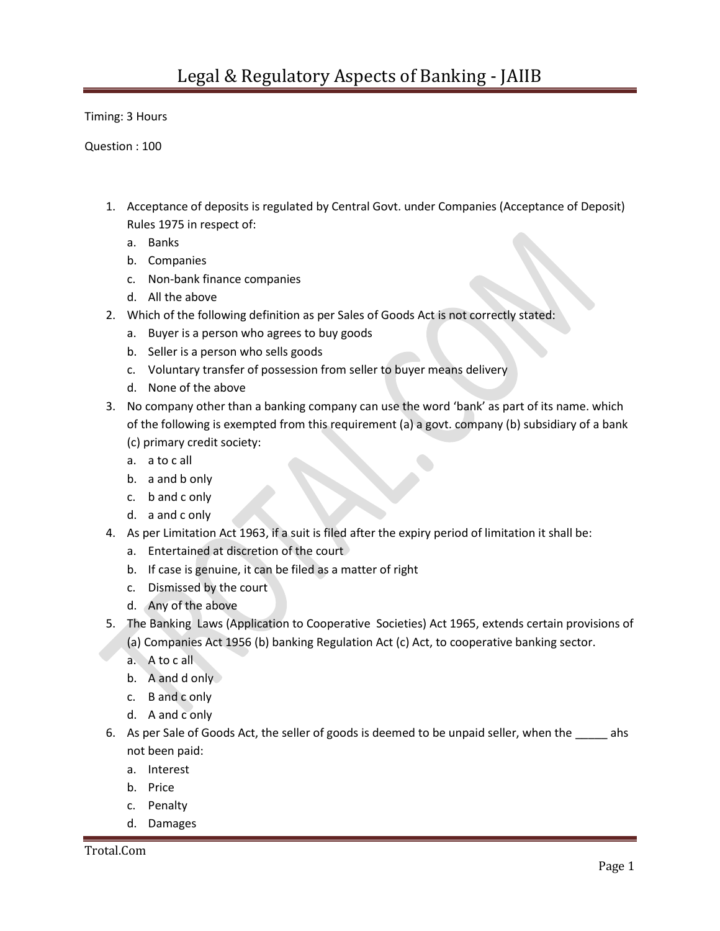Timing: 3 Hours

Question : 100

- 1. Acceptance of deposits is regulated by Central Govt. under Companies (Acceptance of Deposit) Rules 1975 in respect of:
	- a. Banks
	- b. Companies
	- c. Non-bank finance companies
	- d. All the above
- 2. Which of the following definition as per Sales of Goods Act is not correctly stated:
	- a. Buyer is a person who agrees to buy goods
	- b. Seller is a person who sells goods
	- c. Voluntary transfer of possession from seller to buyer means delivery
	- d. None of the above
- 3. No company other than a banking company can use the word 'bank' as part of its name. which of the following is exempted from this requirement (a) a govt. company (b) subsidiary of a bank (c) primary credit society:
	- a. a to c all
	- b. a and b only
	- c. b and c only
	- d. a and c only
- 4. As per Limitation Act 1963, if a suit is filed after the expiry period of limitation it shall be:
	- a. Entertained at discretion of the court
	- b. If case is genuine, it can be filed as a matter of right
	- c. Dismissed by the court
	- d. Any of the above
- 5. The Banking Laws (Application to Cooperative Societies) Act 1965, extends certain provisions of
	- (a) Companies Act 1956 (b) banking Regulation Act (c) Act, to cooperative banking sector.
	- a. A to c all
	- b. A and d only
	- c. B and c only
	- d. A and c only
- 6. As per Sale of Goods Act, the seller of goods is deemed to be unpaid seller, when the \_\_\_\_\_ ahs not been paid:
	- a. Interest
	- b. Price
	- c. Penalty
	- d. Damages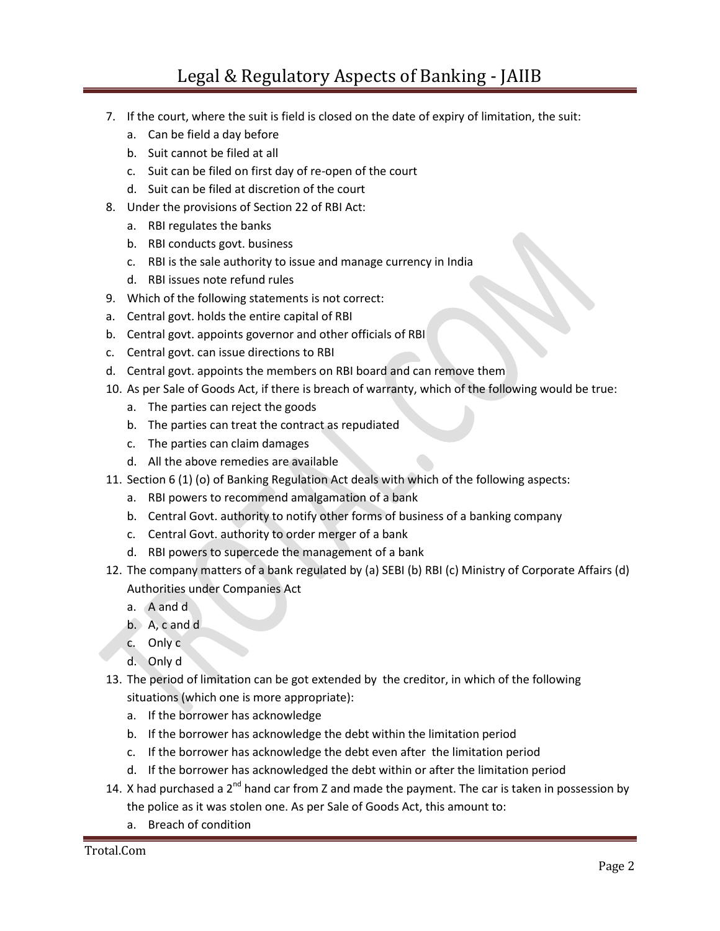## Legal & Regulatory Aspects of Banking - JAIIB

- 7. If the court, where the suit is field is closed on the date of expiry of limitation, the suit:
	- a. Can be field a day before
	- b. Suit cannot be filed at all
	- c. Suit can be filed on first day of re-open of the court
	- d. Suit can be filed at discretion of the court
- 8. Under the provisions of Section 22 of RBI Act:
	- a. RBI regulates the banks
	- b. RBI conducts govt. business
	- c. RBI is the sale authority to issue and manage currency in India
	- d. RBI issues note refund rules
- 9. Which of the following statements is not correct:
- a. Central govt. holds the entire capital of RBI
- b. Central govt. appoints governor and other officials of RBI
- c. Central govt. can issue directions to RBI
- d. Central govt. appoints the members on RBI board and can remove them
- 10. As per Sale of Goods Act, if there is breach of warranty, which of the following would be true:
	- a. The parties can reject the goods
	- b. The parties can treat the contract as repudiated
	- c. The parties can claim damages
	- d. All the above remedies are available
- 11. Section 6 (1) (o) of Banking Regulation Act deals with which of the following aspects:
	- a. RBI powers to recommend amalgamation of a bank
	- b. Central Govt. authority to notify other forms of business of a banking company
	- c. Central Govt. authority to order merger of a bank
	- d. RBI powers to supercede the management of a bank
- 12. The company matters of a bank regulated by (a) SEBI (b) RBI (c) Ministry of Corporate Affairs (d) Authorities under Companies Act
	- a. A and d
	- b. A, c and d
	- c. Only c
	- d. Only d
- 13. The period of limitation can be got extended by the creditor, in which of the following situations (which one is more appropriate):
	- a. If the borrower has acknowledge
	- b. If the borrower has acknowledge the debt within the limitation period
	- c. If the borrower has acknowledge the debt even after the limitation period
	- d. If the borrower has acknowledged the debt within or after the limitation period
- 14. X had purchased a  $2^{nd}$  hand car from Z and made the payment. The car is taken in possession by the police as it was stolen one. As per Sale of Goods Act, this amount to:
	- a. Breach of condition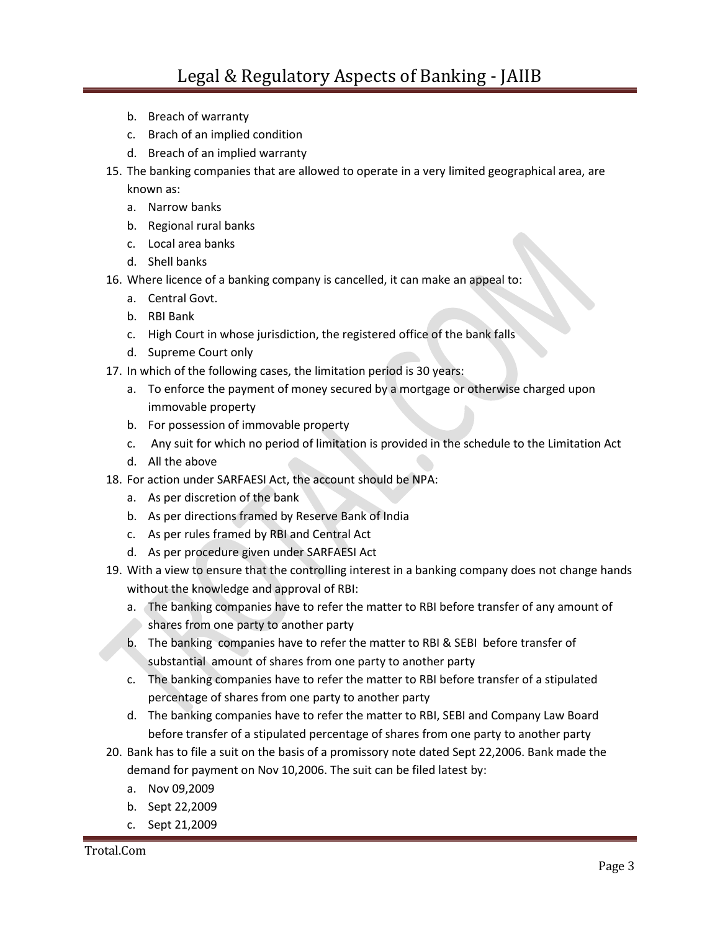- b. Breach of warranty
- c. Brach of an implied condition
- d. Breach of an implied warranty
- 15. The banking companies that are allowed to operate in a very limited geographical area, are known as:
	- a. Narrow banks
	- b. Regional rural banks
	- c. Local area banks
	- d. Shell banks
- 16. Where licence of a banking company is cancelled, it can make an appeal to:
	- a. Central Govt.
	- b. RBI Bank
	- c. High Court in whose jurisdiction, the registered office of the bank falls
	- d. Supreme Court only
- 17. In which of the following cases, the limitation period is 30 years:
	- a. To enforce the payment of money secured by a mortgage or otherwise charged upon immovable property
	- b. For possession of immovable property
	- c. Any suit for which no period of limitation is provided in the schedule to the Limitation Act
	- d. All the above
- 18. For action under SARFAESI Act, the account should be NPA:
	- a. As per discretion of the bank
	- b. As per directions framed by Reserve Bank of India
	- c. As per rules framed by RBI and Central Act
	- d. As per procedure given under SARFAESI Act
- 19. With a view to ensure that the controlling interest in a banking company does not change hands without the knowledge and approval of RBI:
	- a. The banking companies have to refer the matter to RBI before transfer of any amount of shares from one party to another party
	- b. The banking companies have to refer the matter to RBI & SEBI before transfer of substantial amount of shares from one party to another party
	- c. The banking companies have to refer the matter to RBI before transfer of a stipulated percentage of shares from one party to another party
	- d. The banking companies have to refer the matter to RBI, SEBI and Company Law Board before transfer of a stipulated percentage of shares from one party to another party
- 20. Bank has to file a suit on the basis of a promissory note dated Sept 22,2006. Bank made the demand for payment on Nov 10,2006. The suit can be filed latest by:
	- a. Nov 09,2009
	- b. Sept 22,2009
	- c. Sept 21,2009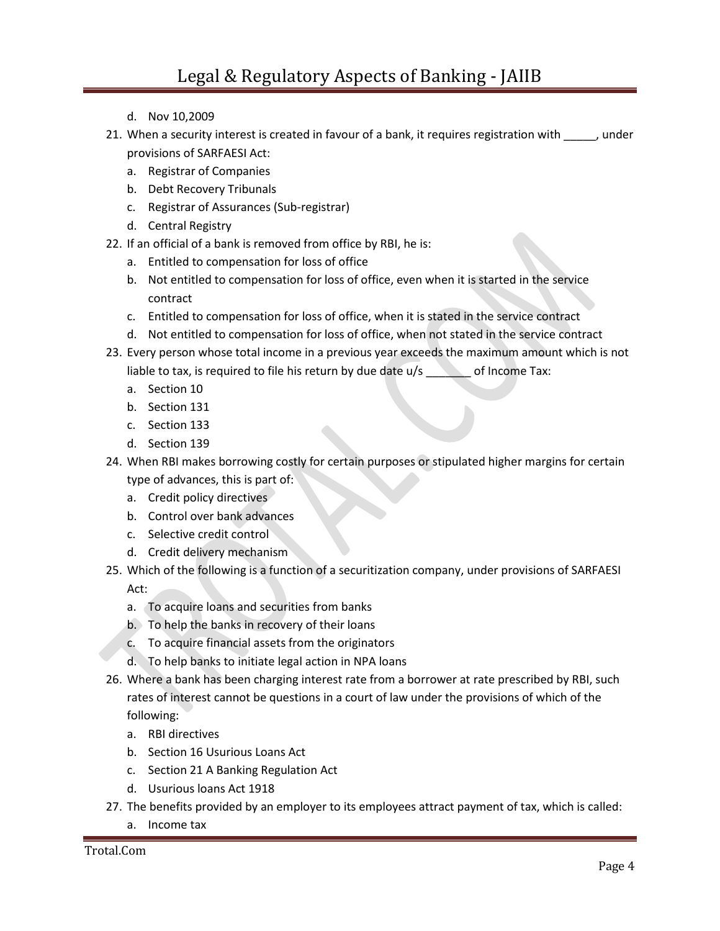- d. Nov 10,2009
- 21. When a security interest is created in favour of a bank, it requires registration with \_\_\_\_\_, under provisions of SARFAESI Act:
	- a. Registrar of Companies
	- b. Debt Recovery Tribunals
	- c. Registrar of Assurances (Sub-registrar)
	- d. Central Registry
- 22. If an official of a bank is removed from office by RBI, he is:
	- a. Entitled to compensation for loss of office
	- b. Not entitled to compensation for loss of office, even when it is started in the service contract
	- c. Entitled to compensation for loss of office, when it is stated in the service contract
	- d. Not entitled to compensation for loss of office, when not stated in the service contract
- 23. Every person whose total income in a previous year exceeds the maximum amount which is not liable to tax, is required to file his return by due date  $u/s$  of Income Tax:
	- a. Section 10
	- b. Section 131
	- c. Section 133
	- d. Section 139
- 24. When RBI makes borrowing costly for certain purposes or stipulated higher margins for certain type of advances, this is part of:
	- a. Credit policy directives
	- b. Control over bank advances
	- c. Selective credit control
	- d. Credit delivery mechanism
- 25. Which of the following is a function of a securitization company, under provisions of SARFAESI Act:
	- a. To acquire loans and securities from banks
	- b. To help the banks in recovery of their loans
	- c. To acquire financial assets from the originators
	- d. To help banks to initiate legal action in NPA loans
- 26. Where a bank has been charging interest rate from a borrower at rate prescribed by RBI, such rates of interest cannot be questions in a court of law under the provisions of which of the following:
	- a. RBI directives
	- b. Section 16 Usurious Loans Act
	- c. Section 21 A Banking Regulation Act
	- d. Usurious loans Act 1918
- 27. The benefits provided by an employer to its employees attract payment of tax, which is called:
	- a. Income tax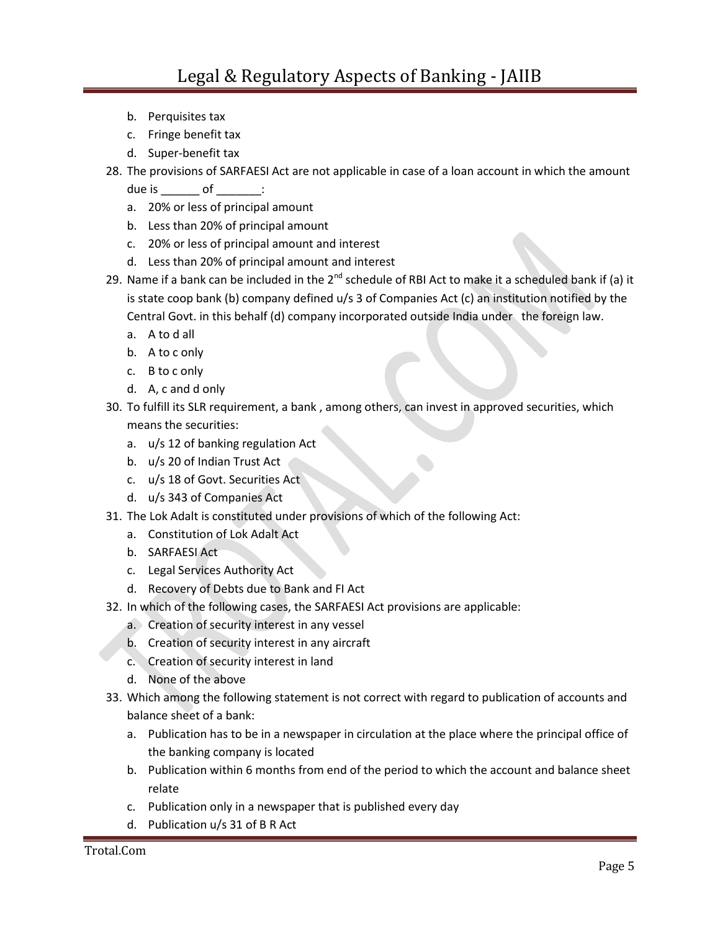- b. Perquisites tax
- c. Fringe benefit tax
- d. Super-benefit tax
- 28. The provisions of SARFAESI Act are not applicable in case of a loan account in which the amount

due is \_\_\_\_\_\_ of \_\_\_\_\_:

- a. 20% or less of principal amount
- b. Less than 20% of principal amount
- c. 20% or less of principal amount and interest
- d. Less than 20% of principal amount and interest
- 29. Name if a bank can be included in the 2<sup>nd</sup> schedule of RBI Act to make it a scheduled bank if (a) it is state coop bank (b) company defined u/s 3 of Companies Act (c) an institution notified by the Central Govt. in this behalf (d) company incorporated outside India under the foreign law.
	- a. A to d all
	- b. A to c only
	- c. B to c only
	- d. A, c and d only
- 30. To fulfill its SLR requirement, a bank , among others, can invest in approved securities, which means the securities:
	- a. u/s 12 of banking regulation Act
	- b. u/s 20 of Indian Trust Act
	- c. u/s 18 of Govt. Securities Act
	- d. u/s 343 of Companies Act
- 31. The Lok Adalt is constituted under provisions of which of the following Act:
	- a. Constitution of Lok Adalt Act
	- b. SARFAESI Act
	- c. Legal Services Authority Act
	- d. Recovery of Debts due to Bank and FI Act
- 32. In which of the following cases, the SARFAESI Act provisions are applicable:
	- a. Creation of security interest in any vessel
	- b. Creation of security interest in any aircraft
	- c. Creation of security interest in land
	- d. None of the above
- 33. Which among the following statement is not correct with regard to publication of accounts and balance sheet of a bank:
	- a. Publication has to be in a newspaper in circulation at the place where the principal office of the banking company is located
	- b. Publication within 6 months from end of the period to which the account and balance sheet relate
	- c. Publication only in a newspaper that is published every day
	- d. Publication u/s 31 of B R Act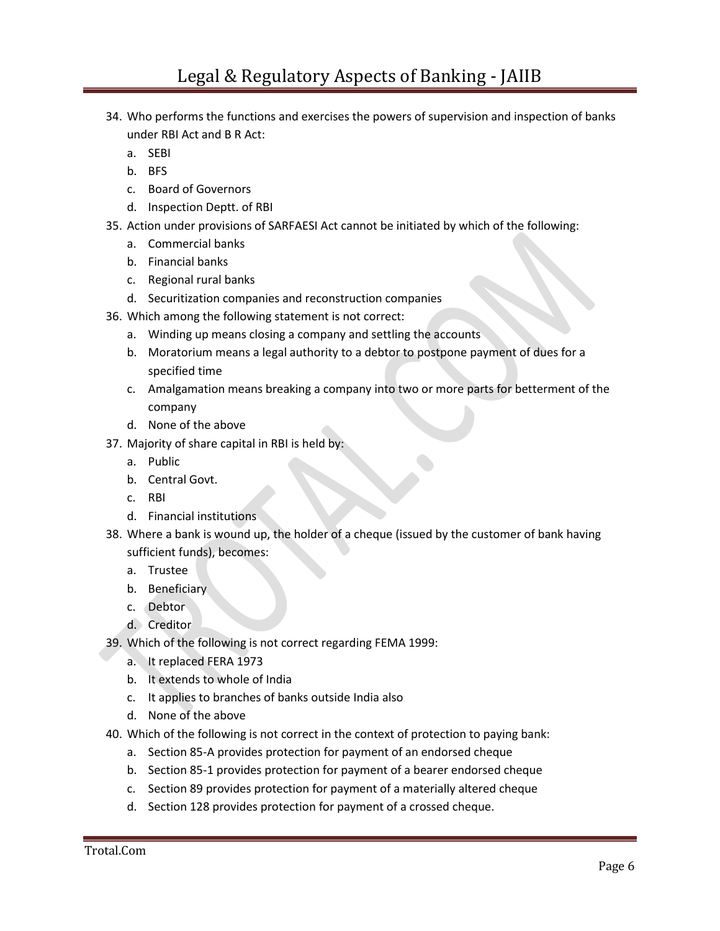- 34. Who performs the functions and exercises the powers of supervision and inspection of banks under RBI Act and B R Act:
	- a. SEBI
	- b. BFS
	- c. Board of Governors
	- d. Inspection Deptt. of RBI
- 35. Action under provisions of SARFAESI Act cannot be initiated by which of the following:
	- a. Commercial banks
	- b. Financial banks
	- c. Regional rural banks
	- d. Securitization companies and reconstruction companies
- 36. Which among the following statement is not correct:
	- a. Winding up means closing a company and settling the accounts
	- b. Moratorium means a legal authority to a debtor to postpone payment of dues for a specified time
	- c. Amalgamation means breaking a company into two or more parts for betterment of the company
	- d. None of the above
- 37. Majority of share capital in RBI is held by:
	- a. Public
	- b. Central Govt.
	- c. RBI
	- d. Financial institutions
- 38. Where a bank is wound up, the holder of a cheque (issued by the customer of bank having sufficient funds), becomes:
	- a. Trustee
	- b. Beneficiary
	- c. Debtor
	- d. Creditor
- 39. Which of the following is not correct regarding FEMA 1999:
	- a. It replaced FERA 1973
	- b. It extends to whole of India
	- c. It applies to branches of banks outside India also
	- d. None of the above
- 40. Which of the following is not correct in the context of protection to paying bank:
	- a. Section 85-A provides protection for payment of an endorsed cheque
	- b. Section 85-1 provides protection for payment of a bearer endorsed cheque
	- c. Section 89 provides protection for payment of a materially altered cheque
	- d. Section 128 provides protection for payment of a crossed cheque.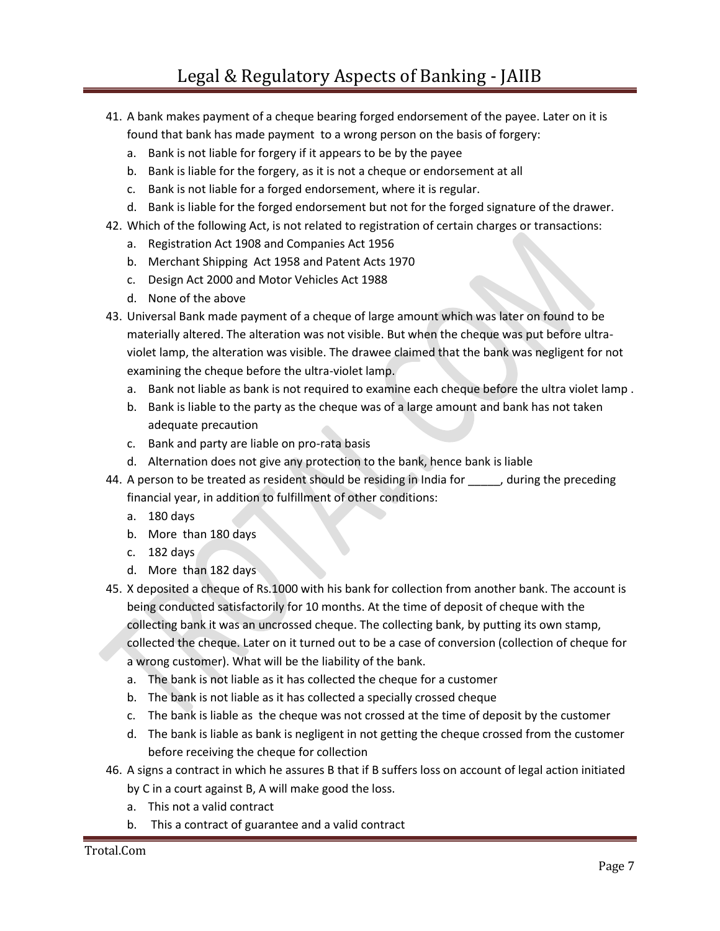- 41. A bank makes payment of a cheque bearing forged endorsement of the payee. Later on it is found that bank has made payment to a wrong person on the basis of forgery:
	- a. Bank is not liable for forgery if it appears to be by the payee
	- b. Bank is liable for the forgery, as it is not a cheque or endorsement at all
	- c. Bank is not liable for a forged endorsement, where it is regular.
	- d. Bank is liable for the forged endorsement but not for the forged signature of the drawer.
- 42. Which of the following Act, is not related to registration of certain charges or transactions:
	- a. Registration Act 1908 and Companies Act 1956
	- b. Merchant Shipping Act 1958 and Patent Acts 1970
	- c. Design Act 2000 and Motor Vehicles Act 1988
	- d. None of the above
- 43. Universal Bank made payment of a cheque of large amount which was later on found to be materially altered. The alteration was not visible. But when the cheque was put before ultraviolet lamp, the alteration was visible. The drawee claimed that the bank was negligent for not examining the cheque before the ultra-violet lamp.
	- a. Bank not liable as bank is not required to examine each cheque before the ultra violet lamp .
	- b. Bank is liable to the party as the cheque was of a large amount and bank has not taken adequate precaution
	- c. Bank and party are liable on pro-rata basis
	- d. Alternation does not give any protection to the bank, hence bank is liable
- 44. A person to be treated as resident should be residing in India for function the preceding financial year, in addition to fulfillment of other conditions:
	- a. 180 days
	- b. More than 180 days
	- c. 182 days
	- d. More than 182 days
- 45. X deposited a cheque of Rs.1000 with his bank for collection from another bank. The account is being conducted satisfactorily for 10 months. At the time of deposit of cheque with the collecting bank it was an uncrossed cheque. The collecting bank, by putting its own stamp, collected the cheque. Later on it turned out to be a case of conversion (collection of cheque for a wrong customer). What will be the liability of the bank.
	- a. The bank is not liable as it has collected the cheque for a customer
	- b. The bank is not liable as it has collected a specially crossed cheque
	- c. The bank is liable as the cheque was not crossed at the time of deposit by the customer
	- d. The bank is liable as bank is negligent in not getting the cheque crossed from the customer before receiving the cheque for collection
- 46. A signs a contract in which he assures B that if B suffers loss on account of legal action initiated by C in a court against B, A will make good the loss.
	- a. This not a valid contract
	- b. This a contract of guarantee and a valid contract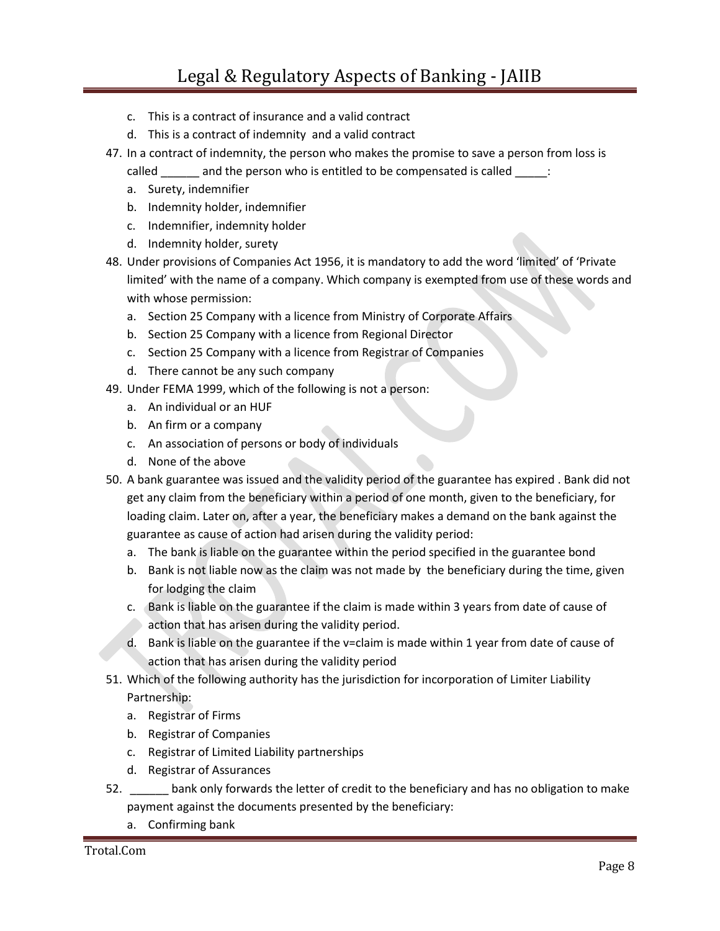- c. This is a contract of insurance and a valid contract
- d. This is a contract of indemnity and a valid contract
- 47. In a contract of indemnity, the person who makes the promise to save a person from loss is
	- called \_\_\_\_\_\_ and the person who is entitled to be compensated is called \_\_\_\_\_:
	- a. Surety, indemnifier
	- b. Indemnity holder, indemnifier
	- c. Indemnifier, indemnity holder
	- d. Indemnity holder, surety
- 48. Under provisions of Companies Act 1956, it is mandatory to add the word 'limited' of 'Private limited' with the name of a company. Which company is exempted from use of these words and with whose permission:
	- a. Section 25 Company with a licence from Ministry of Corporate Affairs
	- b. Section 25 Company with a licence from Regional Director
	- c. Section 25 Company with a licence from Registrar of Companies
	- d. There cannot be any such company
- 49. Under FEMA 1999, which of the following is not a person:
	- a. An individual or an HUF
	- b. An firm or a company
	- c. An association of persons or body of individuals
	- d. None of the above
- 50. A bank guarantee was issued and the validity period of the guarantee has expired . Bank did not get any claim from the beneficiary within a period of one month, given to the beneficiary, for loading claim. Later on, after a year, the beneficiary makes a demand on the bank against the guarantee as cause of action had arisen during the validity period:
	- a. The bank is liable on the guarantee within the period specified in the guarantee bond
	- b. Bank is not liable now as the claim was not made by the beneficiary during the time, given for lodging the claim
	- c. Bank is liable on the guarantee if the claim is made within 3 years from date of cause of action that has arisen during the validity period.
	- d. Bank is liable on the guarantee if the v=claim is made within 1 year from date of cause of action that has arisen during the validity period
- 51. Which of the following authority has the jurisdiction for incorporation of Limiter Liability Partnership:
	- a. Registrar of Firms
	- b. Registrar of Companies
	- c. Registrar of Limited Liability partnerships
	- d. Registrar of Assurances
- 52. **\_\_\_\_\_\_** bank only forwards the letter of credit to the beneficiary and has no obligation to make payment against the documents presented by the beneficiary:
	- a. Confirming bank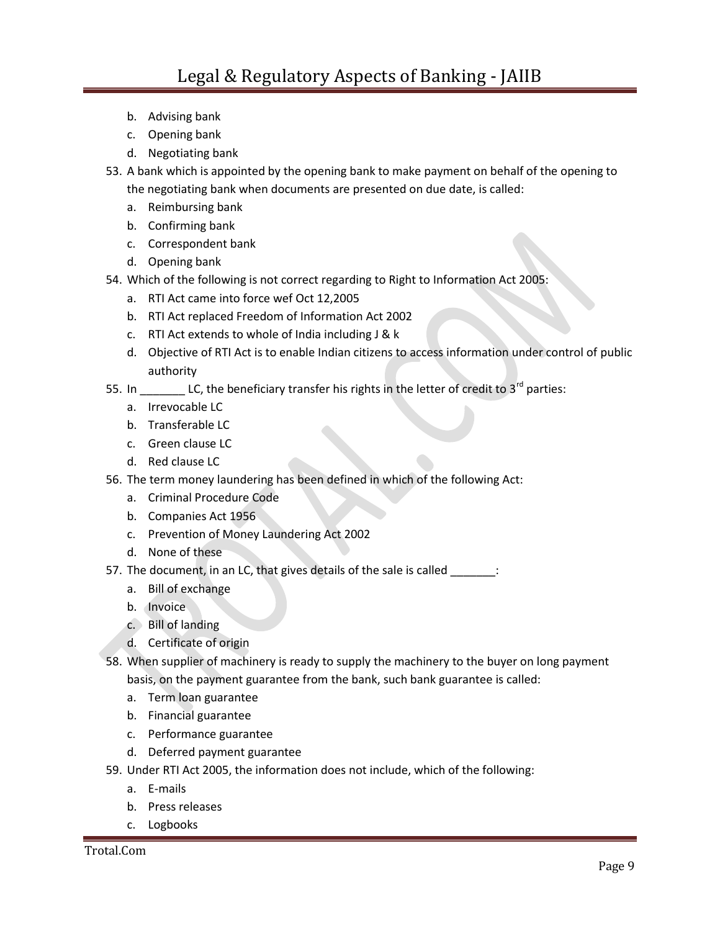- b. Advising bank
- c. Opening bank
- d. Negotiating bank
- 53. A bank which is appointed by the opening bank to make payment on behalf of the opening to the negotiating bank when documents are presented on due date, is called:
	- a. Reimbursing bank
	- b. Confirming bank
	- c. Correspondent bank
	- d. Opening bank
- 54. Which of the following is not correct regarding to Right to Information Act 2005:
	- a. RTI Act came into force wef Oct 12,2005
	- b. RTI Act replaced Freedom of Information Act 2002
	- c. RTI Act extends to whole of India including J & k
	- d. Objective of RTI Act is to enable Indian citizens to access information under control of public authority
- 55. In \_\_\_\_\_\_\_\_ LC, the beneficiary transfer his rights in the letter of credit to  $3^{rd}$  parties:
	- a. Irrevocable LC
	- b. Transferable LC
	- c. Green clause LC
	- d. Red clause LC
- 56. The term money laundering has been defined in which of the following Act:
	- a. Criminal Procedure Code
	- b. Companies Act 1956
	- c. Prevention of Money Laundering Act 2002
	- d. None of these
- 57. The document, in an LC, that gives details of the sale is called \_\_\_\_\_\_\_:
	- a. Bill of exchange
	- b. Invoice
	- c. Bill of landing
	- d. Certificate of origin
- 58. When supplier of machinery is ready to supply the machinery to the buyer on long payment basis, on the payment guarantee from the bank, such bank guarantee is called:
	- a. Term loan guarantee
	- b. Financial guarantee
	- c. Performance guarantee
	- d. Deferred payment guarantee
- 59. Under RTI Act 2005, the information does not include, which of the following:
	- a. E-mails
	- b. Press releases
	- c. Logbooks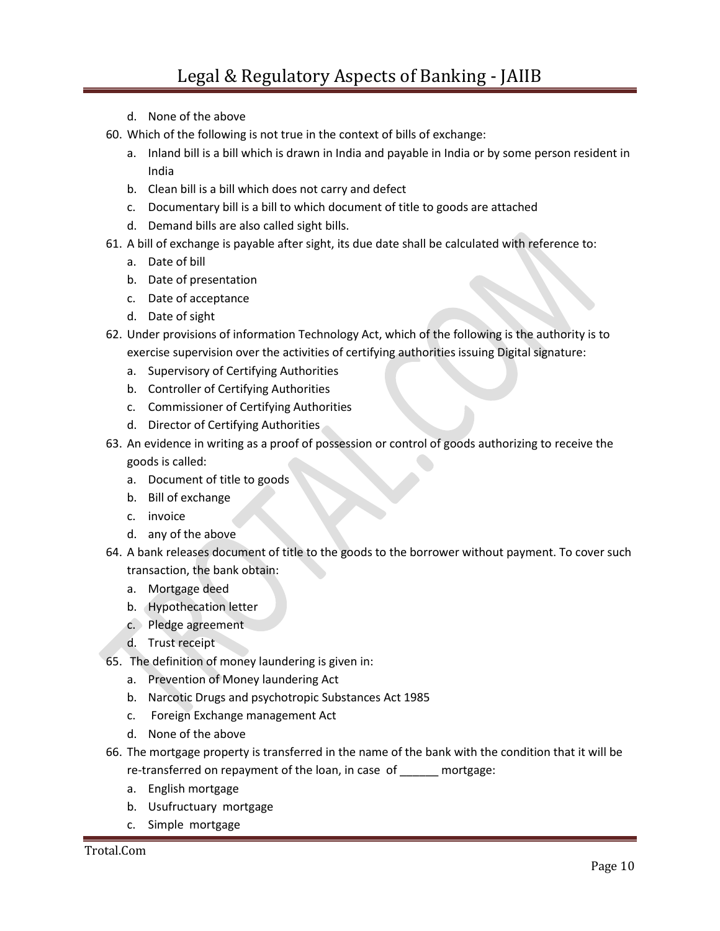- d. None of the above
- 60. Which of the following is not true in the context of bills of exchange:
	- a. Inland bill is a bill which is drawn in India and payable in India or by some person resident in India
	- b. Clean bill is a bill which does not carry and defect
	- c. Documentary bill is a bill to which document of title to goods are attached
	- d. Demand bills are also called sight bills.
- 61. A bill of exchange is payable after sight, its due date shall be calculated with reference to:
	- a. Date of bill
	- b. Date of presentation
	- c. Date of acceptance
	- d. Date of sight
- 62. Under provisions of information Technology Act, which of the following is the authority is to exercise supervision over the activities of certifying authorities issuing Digital signature:
	- a. Supervisory of Certifying Authorities
	- b. Controller of Certifying Authorities
	- c. Commissioner of Certifying Authorities
	- d. Director of Certifying Authorities
- 63. An evidence in writing as a proof of possession or control of goods authorizing to receive the goods is called:
	- a. Document of title to goods
	- b. Bill of exchange
	- c. invoice
	- d. any of the above
- 64. A bank releases document of title to the goods to the borrower without payment. To cover such transaction, the bank obtain:
	- a. Mortgage deed
	- b. Hypothecation letter
	- c. Pledge agreement
	- d. Trust receipt
- 65. The definition of money laundering is given in:
	- a. Prevention of Money laundering Act
	- b. Narcotic Drugs and psychotropic Substances Act 1985
	- c. Foreign Exchange management Act
	- d. None of the above
- 66. The mortgage property is transferred in the name of the bank with the condition that it will be re-transferred on repayment of the loan, in case of mortgage:
	- a. English mortgage
	- b. Usufructuary mortgage
	- c. Simple mortgage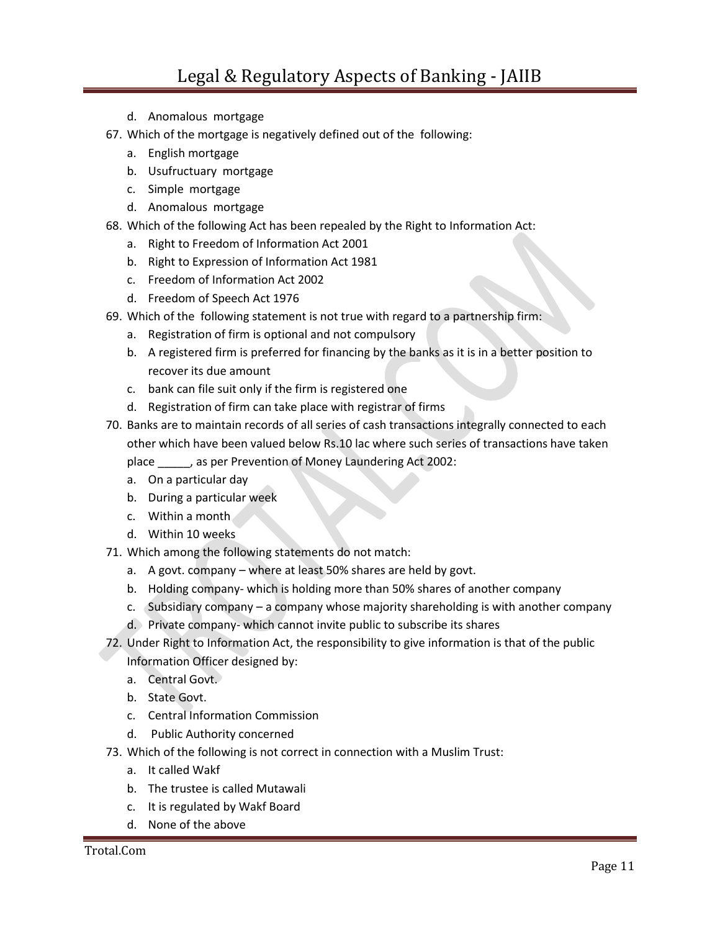- d. Anomalous mortgage
- 67. Which of the mortgage is negatively defined out of the following:
	- a. English mortgage
	- b. Usufructuary mortgage
	- c. Simple mortgage
	- d. Anomalous mortgage
- 68. Which of the following Act has been repealed by the Right to Information Act:
	- a. Right to Freedom of Information Act 2001
	- b. Right to Expression of Information Act 1981
	- c. Freedom of Information Act 2002
	- d. Freedom of Speech Act 1976
- 69. Which of the following statement is not true with regard to a partnership firm:
	- a. Registration of firm is optional and not compulsory
	- b. A registered firm is preferred for financing by the banks as it is in a better position to recover its due amount
	- c. bank can file suit only if the firm is registered one
	- d. Registration of firm can take place with registrar of firms
- 70. Banks are to maintain records of all series of cash transactions integrally connected to each other which have been valued below Rs.10 lac where such series of transactions have taken place \_\_\_\_\_, as per Prevention of Money Laundering Act 2002:
	- a. On a particular day
	- b. During a particular week
	- c. Within a month
	- d. Within 10 weeks
- 71. Which among the following statements do not match:
	- a. A govt. company where at least 50% shares are held by govt.
	- b. Holding company- which is holding more than 50% shares of another company
	- c. Subsidiary company a company whose majority shareholding is with another company
	- d. Private company- which cannot invite public to subscribe its shares
- 72. Under Right to Information Act, the responsibility to give information is that of the public Information Officer designed by:
	- a. Central Govt.
	- b. State Govt.
	- c. Central Information Commission
	- d. Public Authority concerned
- 73. Which of the following is not correct in connection with a Muslim Trust:
	- a. It called Wakf
	- b. The trustee is called Mutawali
	- c. It is regulated by Wakf Board
	- d. None of the above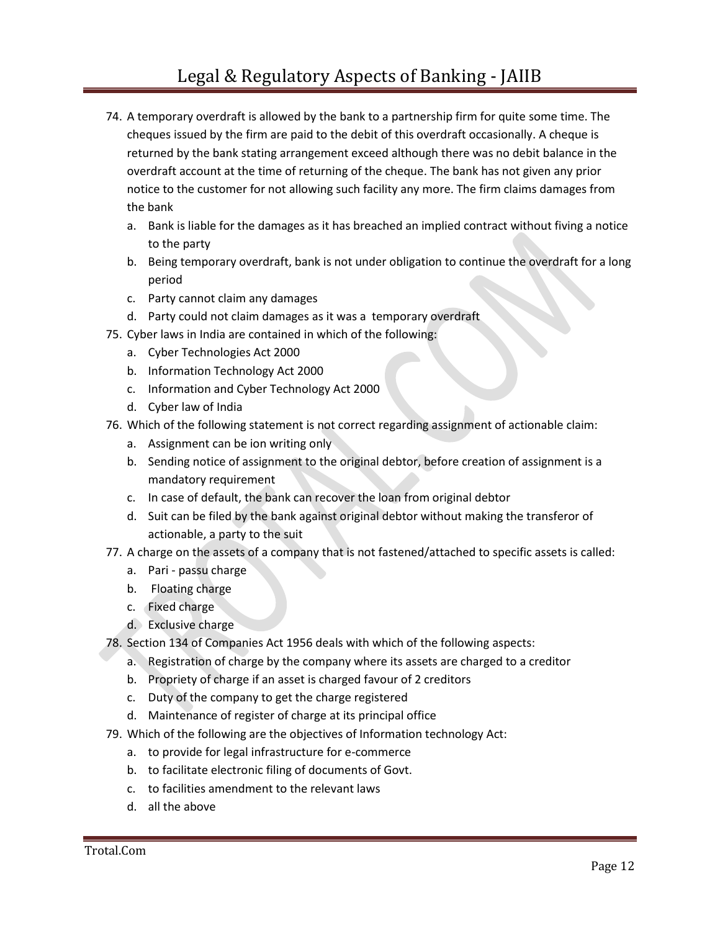- 74. A temporary overdraft is allowed by the bank to a partnership firm for quite some time. The cheques issued by the firm are paid to the debit of this overdraft occasionally. A cheque is returned by the bank stating arrangement exceed although there was no debit balance in the overdraft account at the time of returning of the cheque. The bank has not given any prior notice to the customer for not allowing such facility any more. The firm claims damages from the bank
	- a. Bank is liable for the damages as it has breached an implied contract without fiving a notice to the party
	- b. Being temporary overdraft, bank is not under obligation to continue the overdraft for a long period
	- c. Party cannot claim any damages
	- d. Party could not claim damages as it was a temporary overdraft
- 75. Cyber laws in India are contained in which of the following:
	- a. Cyber Technologies Act 2000
	- b. Information Technology Act 2000
	- c. Information and Cyber Technology Act 2000
	- d. Cyber law of India
- 76. Which of the following statement is not correct regarding assignment of actionable claim:
	- a. Assignment can be ion writing only
	- b. Sending notice of assignment to the original debtor, before creation of assignment is a mandatory requirement
	- c. In case of default, the bank can recover the loan from original debtor
	- d. Suit can be filed by the bank against original debtor without making the transferor of actionable, a party to the suit
- 77. A charge on the assets of a company that is not fastened/attached to specific assets is called:
	- a. Pari passu charge
	- b. Floating charge
	- c. Fixed charge
	- d. Exclusive charge
- 78. Section 134 of Companies Act 1956 deals with which of the following aspects:
	- a. Registration of charge by the company where its assets are charged to a creditor
	- b. Propriety of charge if an asset is charged favour of 2 creditors
	- c. Duty of the company to get the charge registered
	- d. Maintenance of register of charge at its principal office
- 79. Which of the following are the objectives of Information technology Act:
	- a. to provide for legal infrastructure for e-commerce
	- b. to facilitate electronic filing of documents of Govt.
	- c. to facilities amendment to the relevant laws
	- d. all the above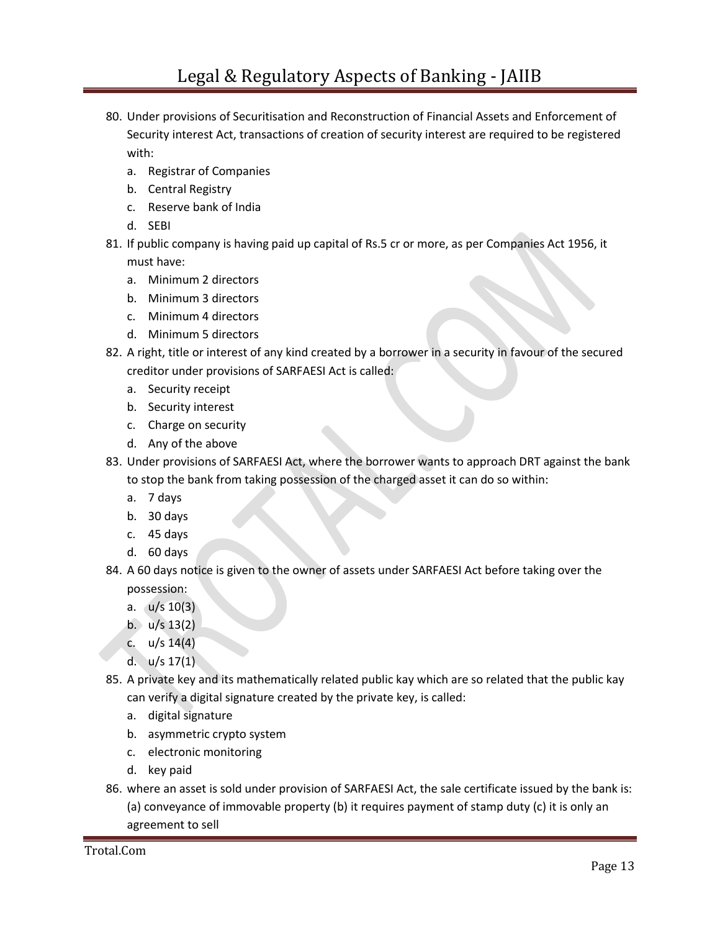- 80. Under provisions of Securitisation and Reconstruction of Financial Assets and Enforcement of Security interest Act, transactions of creation of security interest are required to be registered with:
	- a. Registrar of Companies
	- b. Central Registry
	- c. Reserve bank of India
	- d. SEBI
- 81. If public company is having paid up capital of Rs.5 cr or more, as per Companies Act 1956, it must have:
	- a. Minimum 2 directors
	- b. Minimum 3 directors
	- c. Minimum 4 directors
	- d. Minimum 5 directors
- 82. A right, title or interest of any kind created by a borrower in a security in favour of the secured creditor under provisions of SARFAESI Act is called:
	- a. Security receipt
	- b. Security interest
	- c. Charge on security
	- d. Any of the above
- 83. Under provisions of SARFAESI Act, where the borrower wants to approach DRT against the bank to stop the bank from taking possession of the charged asset it can do so within:
	- a. 7 days
	- b. 30 days
	- c. 45 days
	- d. 60 days
- 84. A 60 days notice is given to the owner of assets under SARFAESI Act before taking over the possession:
	- a. u/s 10(3)
	- b.  $u/s 13(2)$
	- c. u/s 14(4)
	- d. u/s 17(1)
- 85. A private key and its mathematically related public kay which are so related that the public kay can verify a digital signature created by the private key, is called:
	- a. digital signature
	- b. asymmetric crypto system
	- c. electronic monitoring
	- d. key paid
- 86. where an asset is sold under provision of SARFAESI Act, the sale certificate issued by the bank is: (a) conveyance of immovable property (b) it requires payment of stamp duty (c) it is only an agreement to sell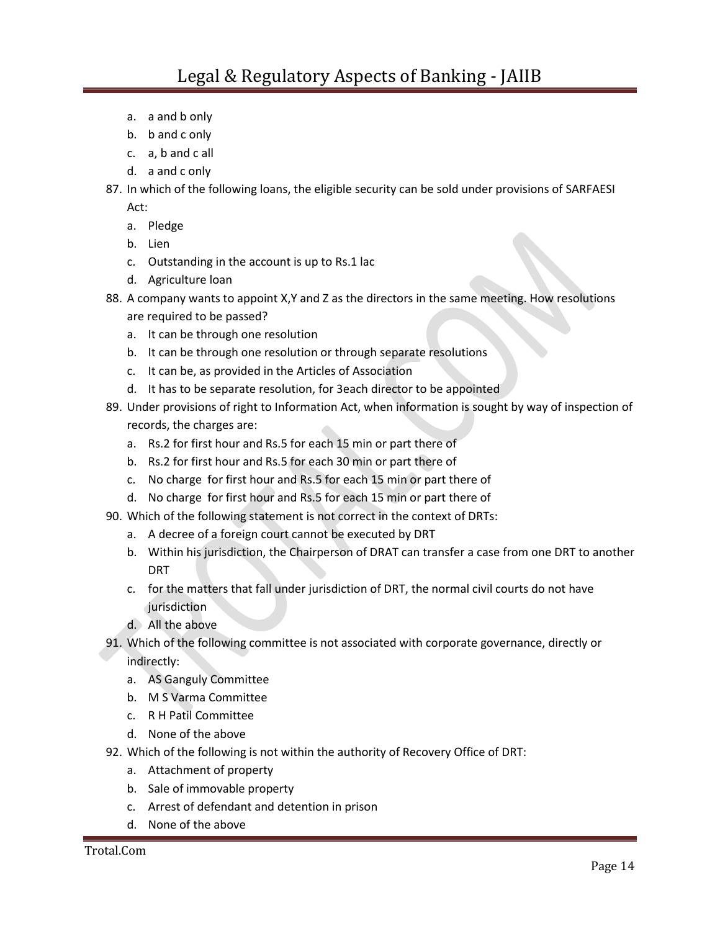- a. a and b only
- b. b and c only
- c. a, b and c all
- d. a and c only
- 87. In which of the following loans, the eligible security can be sold under provisions of SARFAESI

Act:

- a. Pledge
- b. Lien
- c. Outstanding in the account is up to Rs.1 lac
- d. Agriculture loan
- 88. A company wants to appoint X,Y and Z as the directors in the same meeting. How resolutions are required to be passed?
	- a. It can be through one resolution
	- b. It can be through one resolution or through separate resolutions
	- c. It can be, as provided in the Articles of Association
	- d. It has to be separate resolution, for 3each director to be appointed
- 89. Under provisions of right to Information Act, when information is sought by way of inspection of records, the charges are:
	- a. Rs.2 for first hour and Rs.5 for each 15 min or part there of
	- b. Rs.2 for first hour and Rs.5 for each 30 min or part there of
	- c. No charge for first hour and Rs.5 for each 15 min or part there of
	- d. No charge for first hour and Rs.5 for each 15 min or part there of
- 90. Which of the following statement is not correct in the context of DRTs:
	- a. A decree of a foreign court cannot be executed by DRT
	- b. Within his jurisdiction, the Chairperson of DRAT can transfer a case from one DRT to another DRT
	- c. for the matters that fall under jurisdiction of DRT, the normal civil courts do not have jurisdiction
	- d. All the above
- 91. Which of the following committee is not associated with corporate governance, directly or

indirectly:

- a. AS Ganguly Committee
- b. M S Varma Committee
- c. R H Patil Committee
- d. None of the above
- 92. Which of the following is not within the authority of Recovery Office of DRT:
	- a. Attachment of property
	- b. Sale of immovable property
	- c. Arrest of defendant and detention in prison
	- d. None of the above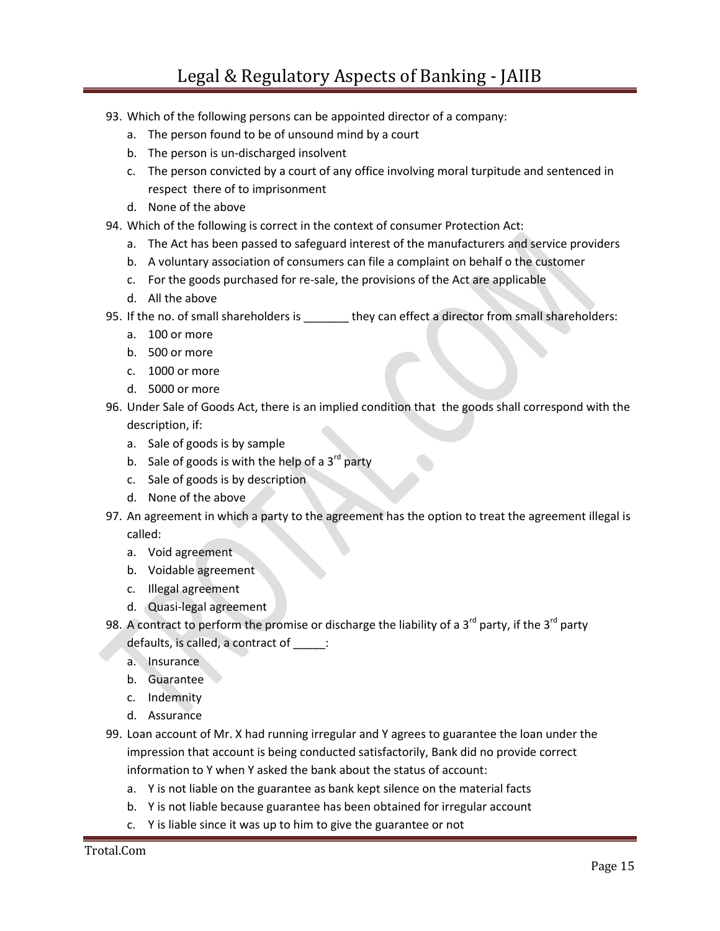- 93. Which of the following persons can be appointed director of a company:
	- a. The person found to be of unsound mind by a court
	- b. The person is un-discharged insolvent
	- c. The person convicted by a court of any office involving moral turpitude and sentenced in respect there of to imprisonment
	- d. None of the above
- 94. Which of the following is correct in the context of consumer Protection Act:
	- a. The Act has been passed to safeguard interest of the manufacturers and service providers
	- b. A voluntary association of consumers can file a complaint on behalf o the customer
	- c. For the goods purchased for re-sale, the provisions of the Act are applicable
	- d. All the above
- 95. If the no. of small shareholders is \_\_\_\_\_\_\_ they can effect a director from small shareholders:
	- a. 100 or more
	- b. 500 or more
	- c. 1000 or more
	- d. 5000 or more
- 96. Under Sale of Goods Act, there is an implied condition that the goods shall correspond with the description, if:
	- a. Sale of goods is by sample
	- b. Sale of goods is with the help of a  $3<sup>rd</sup>$  party
	- c. Sale of goods is by description
	- d. None of the above
- 97. An agreement in which a party to the agreement has the option to treat the agreement illegal is called:
	- a. Void agreement
	- b. Voidable agreement
	- c. Illegal agreement
	- d. Quasi-legal agreement
- 98. A contract to perform the promise or discharge the liability of a 3<sup>rd</sup> party, if the 3<sup>rd</sup> party defaults, is called, a contract of \_\_\_\_\_:
	- a. Insurance
	- b. Guarantee
	- c. Indemnity
	- d. Assurance
- 99. Loan account of Mr. X had running irregular and Y agrees to guarantee the loan under the impression that account is being conducted satisfactorily, Bank did no provide correct information to Y when Y asked the bank about the status of account:
	- a. Y is not liable on the guarantee as bank kept silence on the material facts
	- b. Y is not liable because guarantee has been obtained for irregular account
	- c. Y is liable since it was up to him to give the guarantee or not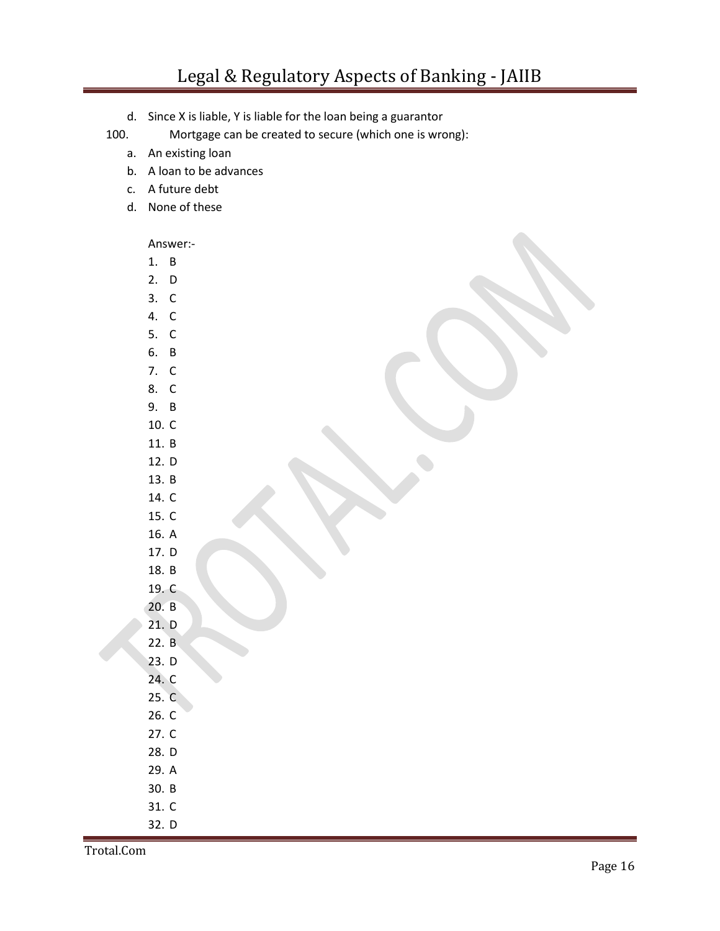d. Since X is liable, Y is liable for the loan being a guarantor

## 100. Mortgage can be created to secure (which one is wrong):

- a. An existing loan
- b. A loan to be advances
- c. A future debt
- d. None of these

Answer:-

- 1. B
- 2. D
- 3. C 4. C
- 5. C
- 6. B
- 7. C
- 8. C
- 9. B
- 10. C
- 11. B
- 12. D
- 13. B 14. C
- 15. C
- 16. A
- 17. D
- 18. B
- 19. C
- 20. B
- 21. D
- 22. B
- 23. D
- 24. C
- 25. C
- 26. C
- 27. C
- 28. D
- 29. A
- 30. B
- 31. C
- 32. D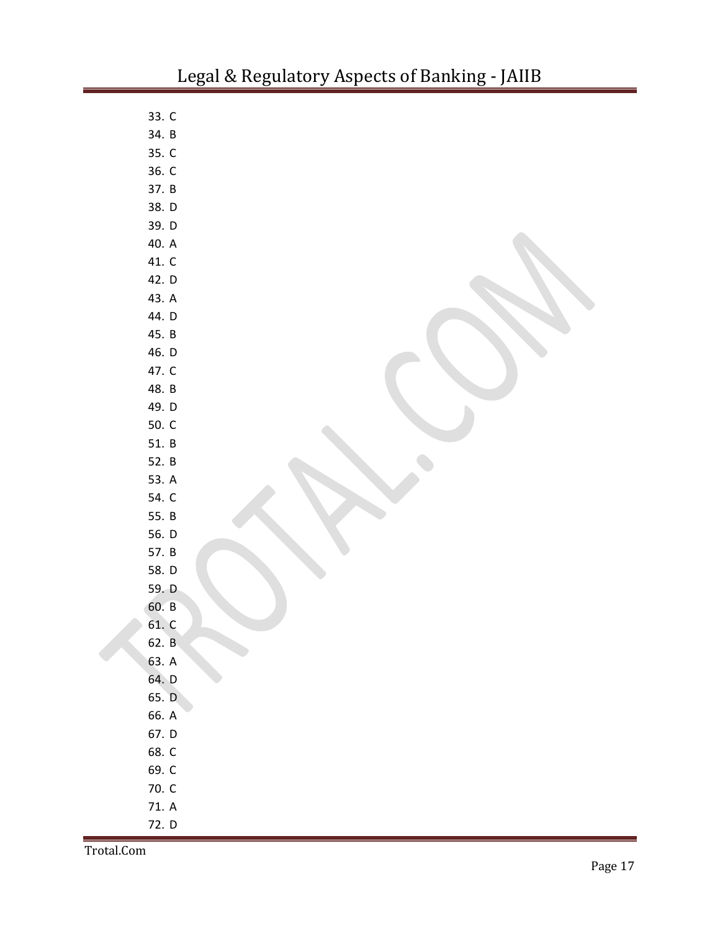| 33. C |  |
|-------|--|
| 34. B |  |
| 35. C |  |
| 36. C |  |
| 37. B |  |
| 38. D |  |
| 39. D |  |
| 40. A |  |
| 41. C |  |
| 42. D |  |
| 43. A |  |
| 44. D |  |
| 45. B |  |
| 46. D |  |
| 47. C |  |
| 48. B |  |
| 49. D |  |
| 50. C |  |
| 51. B |  |
| 52. B |  |
| 53. A |  |
| 54. C |  |
| 55. B |  |
| 56. D |  |
| 57. B |  |
| 58. D |  |
| 59. D |  |
| 60. B |  |
| 61. C |  |
| 62. B |  |
| 63. A |  |
| 64. D |  |
| 65. D |  |
| 66. A |  |
| 67. D |  |
| 68. C |  |
| 69. C |  |
| 70. C |  |
| 71. A |  |
| 72. D |  |

Trotal.Com